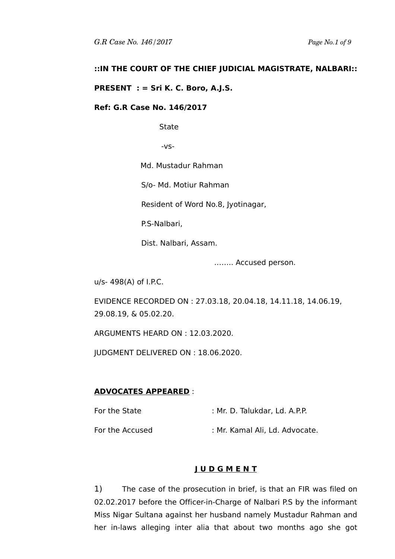# **::IN THE COURT OF THE CHIEF JUDICIAL MAGISTRATE, NALBARI::**

## **PRESENT : = Sri K. C. Boro, A.J.S.**

### **Ref: G.R Case No. 146/2017**

**State** 

-vs-

Md. Mustadur Rahman

S/o- Md. Motiur Rahman

Resident of Word No.8, Jyotinagar,

P.S-Nalbari,

Dist. Nalbari, Assam.

…….. Accused person.

u/s- 498(A) of I.P.C.

EVIDENCE RECORDED ON : 27.03.18, 20.04.18, 14.11.18, 14.06.19, 29.08.19, & 05.02.20.

ARGUMENTS HEARD ON : 12.03.2020.

JUDGMENT DELIVERED ON : 18.06.2020.

#### **ADVOCATES APPEARED** :

For the State : Mr. D. Talukdar, Ld. A.P.P.

For the Accused : Mr. Kamal Ali, Ld. Advocate.

### **J U D G M E N T**

1) The case of the prosecution in brief, is that an FIR was filed on 02.02.2017 before the Officer-in-Charge of Nalbari P.S by the informant Miss Nigar Sultana against her husband namely Mustadur Rahman and her in-laws alleging inter alia that about two months ago she got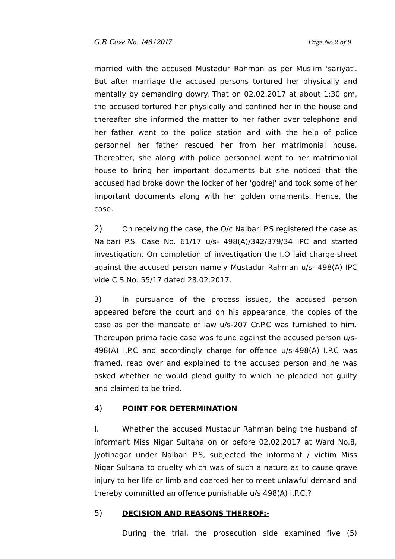married with the accused Mustadur Rahman as per Muslim 'sariyat'. But after marriage the accused persons tortured her physically and mentally by demanding dowry. That on 02.02.2017 at about 1:30 pm, the accused tortured her physically and confined her in the house and thereafter she informed the matter to her father over telephone and her father went to the police station and with the help of police personnel her father rescued her from her matrimonial house. Thereafter, she along with police personnel went to her matrimonial house to bring her important documents but she noticed that the accused had broke down the locker of her 'godrej' and took some of her important documents along with her golden ornaments. Hence, the case.

2) On receiving the case, the O/c Nalbari P.S registered the case as Nalbari P.S. Case No. 61/17 u/s- 498(A)/342/379/34 IPC and started investigation. On completion of investigation the I.O laid charge-sheet against the accused person namely Mustadur Rahman u/s- 498(A) IPC vide C.S No. 55/17 dated 28.02.2017.

3) In pursuance of the process issued, the accused person appeared before the court and on his appearance, the copies of the case as per the mandate of law u/s-207 Cr.P.C was furnished to him. Thereupon prima facie case was found against the accused person u/s-498(A) I.P.C and accordingly charge for offence u/s-498(A) I.P.C was framed, read over and explained to the accused person and he was asked whether he would plead guilty to which he pleaded not guilty and claimed to be tried.

# 4) **POINT FOR DETERMINATION**

I. Whether the accused Mustadur Rahman being the husband of informant Miss Nigar Sultana on or before 02.02.2017 at Ward No.8, Jyotinagar under Nalbari P.S, subjected the informant / victim Miss Nigar Sultana to cruelty which was of such a nature as to cause grave injury to her life or limb and coerced her to meet unlawful demand and thereby committed an offence punishable u/s 498(A) I.P.C.?

# 5) **DECISION AND REASONS THEREOF:-**

During the trial, the prosecution side examined five (5)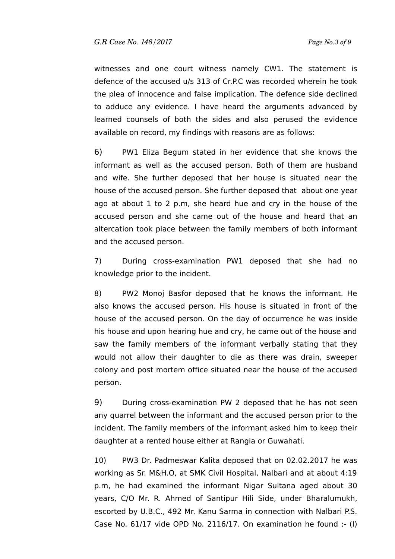witnesses and one court witness namely CW1. The statement is defence of the accused u/s 313 of Cr.P.C was recorded wherein he took the plea of innocence and false implication. The defence side declined to adduce any evidence. I have heard the arguments advanced by learned counsels of both the sides and also perused the evidence available on record, my findings with reasons are as follows:

6) PW1 Eliza Begum stated in her evidence that she knows the informant as well as the accused person. Both of them are husband and wife. She further deposed that her house is situated near the house of the accused person. She further deposed that about one year ago at about 1 to 2 p.m, she heard hue and cry in the house of the accused person and she came out of the house and heard that an altercation took place between the family members of both informant and the accused person.

7) During cross-examination PW1 deposed that she had no knowledge prior to the incident.

8) PW2 Monoj Basfor deposed that he knows the informant. He also knows the accused person. His house is situated in front of the house of the accused person. On the day of occurrence he was inside his house and upon hearing hue and cry, he came out of the house and saw the family members of the informant verbally stating that they would not allow their daughter to die as there was drain, sweeper colony and post mortem office situated near the house of the accused person.

9) During cross-examination PW 2 deposed that he has not seen any quarrel between the informant and the accused person prior to the incident. The family members of the informant asked him to keep their daughter at a rented house either at Rangia or Guwahati.

10) PW3 Dr. Padmeswar Kalita deposed that on 02.02.2017 he was working as Sr. M&H.O, at SMK Civil Hospital, Nalbari and at about 4:19 p.m, he had examined the informant Nigar Sultana aged about 30 years, C/O Mr. R. Ahmed of Santipur Hili Side, under Bharalumukh, escorted by U.B.C., 492 Mr. Kanu Sarma in connection with Nalbari P.S. Case No. 61/17 vide OPD No. 2116/17. On examination he found :- (I)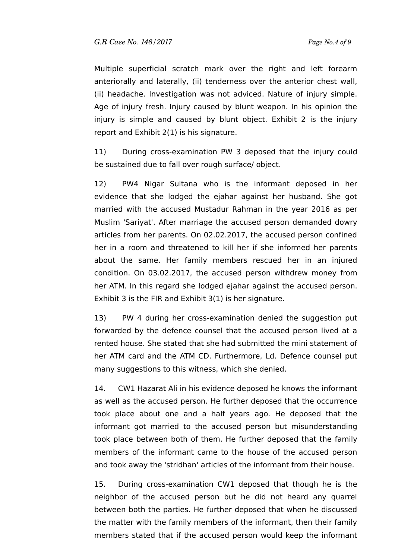Multiple superficial scratch mark over the right and left forearm anteriorally and laterally, (ii) tenderness over the anterior chest wall, (ii) headache. Investigation was not adviced. Nature of injury simple. Age of injury fresh. Injury caused by blunt weapon. In his opinion the injury is simple and caused by blunt object. Exhibit 2 is the injury report and Exhibit 2(1) is his signature.

11) During cross-examination PW 3 deposed that the injury could be sustained due to fall over rough surface/ object.

12) PW4 Nigar Sultana who is the informant deposed in her evidence that she lodged the ejahar against her husband. She got married with the accused Mustadur Rahman in the year 2016 as per Muslim 'Sariyat'. After marriage the accused person demanded dowry articles from her parents. On 02.02.2017, the accused person confined her in a room and threatened to kill her if she informed her parents about the same. Her family members rescued her in an injured condition. On 03.02.2017, the accused person withdrew money from her ATM. In this regard she lodged ejahar against the accused person. Exhibit 3 is the FIR and Exhibit 3(1) is her signature.

13) PW 4 during her cross-examination denied the suggestion put forwarded by the defence counsel that the accused person lived at a rented house. She stated that she had submitted the mini statement of her ATM card and the ATM CD. Furthermore, Ld. Defence counsel put many suggestions to this witness, which she denied.

14. CW1 Hazarat Ali in his evidence deposed he knows the informant as well as the accused person. He further deposed that the occurrence took place about one and a half years ago. He deposed that the informant got married to the accused person but misunderstanding took place between both of them. He further deposed that the family members of the informant came to the house of the accused person and took away the 'stridhan' articles of the informant from their house.

15. During cross-examination CW1 deposed that though he is the neighbor of the accused person but he did not heard any quarrel between both the parties. He further deposed that when he discussed the matter with the family members of the informant, then their family members stated that if the accused person would keep the informant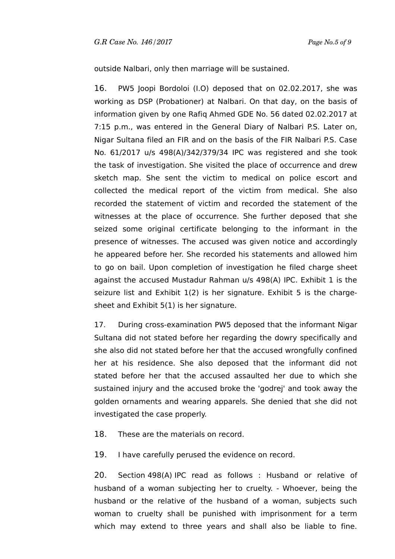outside Nalbari, only then marriage will be sustained.

16. PW5 Joopi Bordoloi (I.O) deposed that on 02.02.2017, she was working as DSP (Probationer) at Nalbari. On that day, on the basis of information given by one Rafiq Ahmed GDE No. 56 dated 02.02.2017 at 7:15 p.m., was entered in the General Diary of Nalbari P.S. Later on, Nigar Sultana filed an FIR and on the basis of the FIR Nalbari P.S. Case No. 61/2017 u/s 498(A)/342/379/34 IPC was registered and she took the task of investigation. She visited the place of occurrence and drew sketch map. She sent the victim to medical on police escort and collected the medical report of the victim from medical. She also recorded the statement of victim and recorded the statement of the witnesses at the place of occurrence. She further deposed that she seized some original certificate belonging to the informant in the presence of witnesses. The accused was given notice and accordingly he appeared before her. She recorded his statements and allowed him to go on bail. Upon completion of investigation he filed charge sheet against the accused Mustadur Rahman u/s 498(A) IPC. Exhibit 1 is the seizure list and Exhibit 1(2) is her signature. Exhibit 5 is the chargesheet and Exhibit 5(1) is her signature.

17. During cross-examination PW5 deposed that the informant Nigar Sultana did not stated before her regarding the dowry specifically and she also did not stated before her that the accused wrongfully confined her at his residence. She also deposed that the informant did not stated before her that the accused assaulted her due to which she sustained injury and the accused broke the 'godrej' and took away the golden ornaments and wearing apparels. She denied that she did not investigated the case properly.

18. These are the materials on record.

19. I have carefully perused the evidence on record.

20. Section 498(A) IPC read as follows : Husband or relative of husband of a woman subjecting her to cruelty. - Whoever, being the husband or the relative of the husband of a woman, subjects such woman to cruelty shall be punished with imprisonment for a term which may extend to three years and shall also be liable to fine.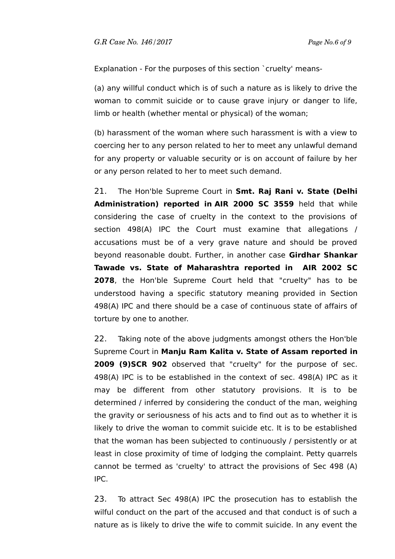Explanation - For the purposes of this section `cruelty' means-

(a) any willful conduct which is of such a nature as is likely to drive the woman to commit suicide or to cause grave injury or danger to life, limb or health (whether mental or physical) of the woman;

(b) harassment of the woman where such harassment is with a view to coercing her to any person related to her to meet any unlawful demand for any property or valuable security or is on account of failure by her or any person related to her to meet such demand.

21. The Hon'ble Supreme Court in **Smt. Raj Rani v. State (Delhi Administration) reported in AIR 2000 SC 3559** held that while considering the case of cruelty in the context to the provisions of section 498(A) IPC the Court must examine that allegations / accusations must be of a very grave nature and should be proved beyond reasonable doubt. Further, in another case **Girdhar Shankar Tawade vs. State of Maharashtra reported in AIR 2002 SC 2078**, the Hon'ble Supreme Court held that "cruelty" has to be understood having a specific statutory meaning provided in Section 498(A) IPC and there should be a case of continuous state of affairs of torture by one to another.

22. Taking note of the above judgments amongst others the Hon'ble Supreme Court in **Manju Ram Kalita v. State of Assam reported in 2009 (9)SCR 902** observed that "cruelty" for the purpose of sec. 498(A) IPC is to be established in the context of sec. 498(A) IPC as it may be different from other statutory provisions. It is to be determined / inferred by considering the conduct of the man, weighing the gravity or seriousness of his acts and to find out as to whether it is likely to drive the woman to commit suicide etc. It is to be established that the woman has been subjected to continuously / persistently or at least in close proximity of time of lodging the complaint. Petty quarrels cannot be termed as 'cruelty' to attract the provisions of Sec 498 (A) IPC.

23. To attract Sec 498(A) IPC the prosecution has to establish the wilful conduct on the part of the accused and that conduct is of such a nature as is likely to drive the wife to commit suicide. In any event the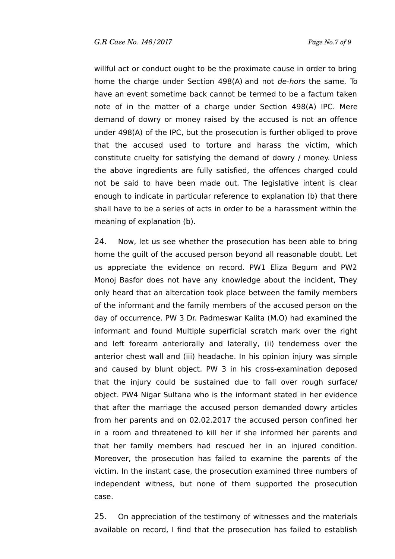willful act or conduct ought to be the proximate cause in order to bring home the charge under Section 498(A) and not *de-hors* the same. To have an event sometime back cannot be termed to be a factum taken note of in the matter of a charge under Section 498(A) IPC. Mere demand of dowry or money raised by the accused is not an offence under 498(A) of the IPC, but the prosecution is further obliged to prove that the accused used to torture and harass the victim, which constitute cruelty for satisfying the demand of dowry / money. Unless the above ingredients are fully satisfied, the offences charged could not be said to have been made out. The legislative intent is clear enough to indicate in particular reference to explanation (b) that there shall have to be a series of acts in order to be a harassment within the meaning of explanation (b).

24. Now, let us see whether the prosecution has been able to bring home the guilt of the accused person beyond all reasonable doubt. Let us appreciate the evidence on record. PW1 Eliza Begum and PW2 Monoj Basfor does not have any knowledge about the incident, They only heard that an altercation took place between the family members of the informant and the family members of the accused person on the day of occurrence. PW 3 Dr. Padmeswar Kalita (M.O) had examined the informant and found Multiple superficial scratch mark over the right and left forearm anteriorally and laterally, (ii) tenderness over the anterior chest wall and (iii) headache. In his opinion injury was simple and caused by blunt object. PW 3 in his cross-examination deposed that the injury could be sustained due to fall over rough surface/ object. PW4 Nigar Sultana who is the informant stated in her evidence that after the marriage the accused person demanded dowry articles from her parents and on 02.02.2017 the accused person confined her in a room and threatened to kill her if she informed her parents and that her family members had rescued her in an injured condition. Moreover, the prosecution has failed to examine the parents of the victim. In the instant case, the prosecution examined three numbers of independent witness, but none of them supported the prosecution case.

25. On appreciation of the testimony of witnesses and the materials available on record, I find that the prosecution has failed to establish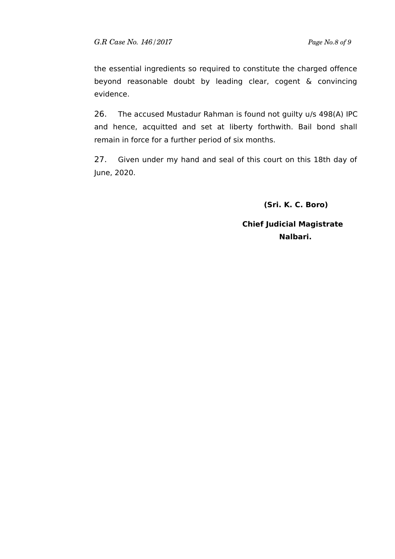the essential ingredients so required to constitute the charged offence beyond reasonable doubt by leading clear, cogent & convincing evidence.

26. The accused Mustadur Rahman is found not guilty u/s 498(A) IPC and hence, acquitted and set at liberty forthwith. Bail bond shall remain in force for a further period of six months.

27. Given under my hand and seal of this court on this 18th day of June, 2020.

 **(Sri. K. C. Boro)**

 **Chief Judicial Magistrate Nalbari.**